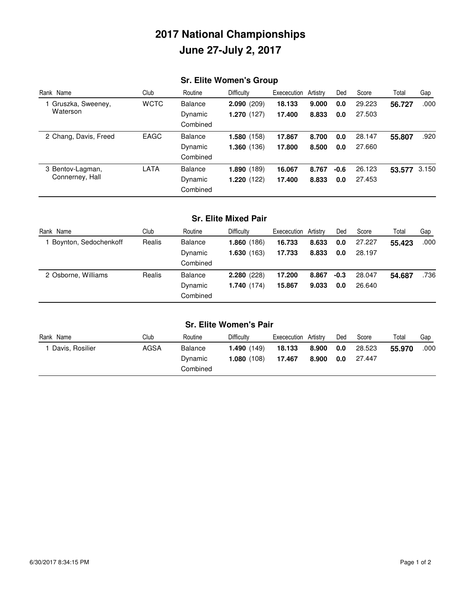# **2017 National Championships June 27-July 2, 2017**

# **Sr. Elite Women's Group**

| Rank Name                           | Club        | Routine        | <b>Difficulty</b> | Exececution | Artistrv | Ded    | Score  | Total  | Gap   |
|-------------------------------------|-------------|----------------|-------------------|-------------|----------|--------|--------|--------|-------|
| 1 Gruszka, Sweeney,<br>Waterson     | <b>WCTC</b> | <b>Balance</b> | 2.090(209)        | 18.133      | 9.000    | 0.0    | 29.223 | 56.727 | .000  |
|                                     |             | Dynamic        | 1.270(127)        | 17.400      | 8.833    | 0.0    | 27.503 |        |       |
|                                     |             | Combined       |                   |             |          |        |        |        |       |
| 2 Chang, Davis, Freed               | <b>EAGC</b> | <b>Balance</b> | 1.580(158)        | 17.867      | 8.700    | 0.0    | 28.147 | 55.807 | .920  |
|                                     |             | Dynamic        | 1.360(136)        | 17.800      | 8.500    | 0.0    | 27.660 |        |       |
|                                     |             | Combined       |                   |             |          |        |        |        |       |
| 3 Bentov-Lagman,<br>Connerney, Hall | <b>LATA</b> | <b>Balance</b> | 1.890(189)        | 16.067      | 8.767    | $-0.6$ | 26.123 | 53.577 | 3.150 |
|                                     |             | Dynamic        | 1.220(122)        | 17.400      | 8.833    | 0.0    | 27.453 |        |       |
|                                     |             | Combined       |                   |             |          |        |        |        |       |

### **Sr. Elite Mixed Pair**

| Rank Name             | Club   | Routine        | <b>Difficulty</b> | Exececution Artistry |       | Ded    | Score  | Total  | Gap  |
|-----------------------|--------|----------------|-------------------|----------------------|-------|--------|--------|--------|------|
| Boynton, Sedochenkoff | Realis | <b>Balance</b> | 1.860(186)        | 16.733               | 8.633 | 0.0    | 27.227 | 55.423 | .000 |
|                       |        | Dynamic        | 1.630(163)        | 17.733               | 8.833 | 0.0    | 28.197 |        |      |
|                       |        | Combined       |                   |                      |       |        |        |        |      |
| 2 Osborne, Williams   | Realis | <b>Balance</b> | 2.280(228)        | 17.200               | 8.867 | $-0.3$ | 28.047 | 54.687 | .736 |
|                       |        | Dynamic        | 1.740(174)        | 15,867               | 9.033 | 0.0    | 26.640 |        |      |
|                       |        | Combined       |                   |                      |       |        |        |        |      |

| <b>Sr. Elite Women's Pair</b> |      |          |            |             |          |     |        |        |      |
|-------------------------------|------|----------|------------|-------------|----------|-----|--------|--------|------|
| Rank Name                     | Club | Routine  | Difficulty | Exececution | Artistrv | Ded | Score  | Total  | Gap  |
| I Davis, Rosilier             | AGSA | Balance  | 1.490(149) | 18.133      | 8.900    | 0.0 | 28.523 | 55.970 | .000 |
|                               |      | Dynamic  | 1.080(108) | 17.467      | 8.900    | 0.0 | 27.447 |        |      |
|                               |      | Combined |            |             |          |     |        |        |      |